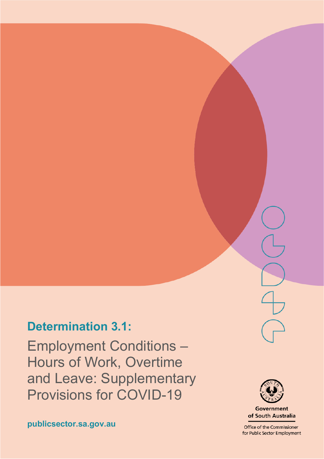## **Determination 3.1:**

Employment Conditions – Hours of Work, Overtime and Leave: Supplementary Provisions for COVID-19



**Government** of South Australia

Office of the Commissioner for Public Sector Employment

**publicsector.sa.gov.au**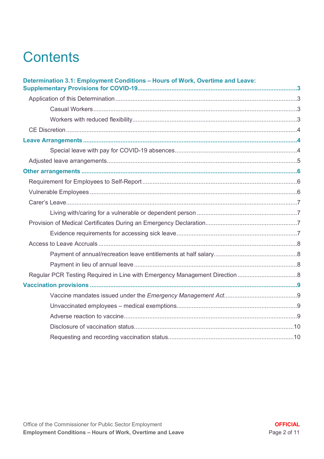# **Contents**

| Determination 3.1: Employment Conditions - Hours of Work, Overtime and Leave: |  |
|-------------------------------------------------------------------------------|--|
|                                                                               |  |
|                                                                               |  |
|                                                                               |  |
|                                                                               |  |
|                                                                               |  |
|                                                                               |  |
|                                                                               |  |
|                                                                               |  |
|                                                                               |  |
|                                                                               |  |
|                                                                               |  |
|                                                                               |  |
|                                                                               |  |
|                                                                               |  |
|                                                                               |  |
|                                                                               |  |
|                                                                               |  |
|                                                                               |  |
|                                                                               |  |
|                                                                               |  |
|                                                                               |  |
|                                                                               |  |
|                                                                               |  |
|                                                                               |  |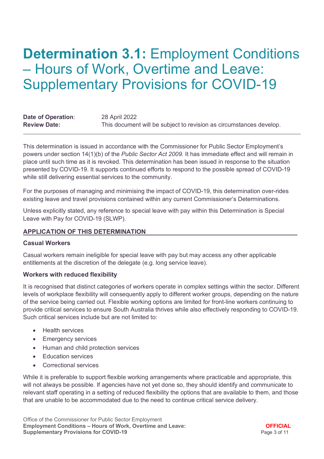## <span id="page-2-0"></span>**Determination 3.1: Employment Conditions** – Hours of Work, Overtime and Leave: Supplementary Provisions for COVID-19

| Date of Operation:  | 28 April 2022                                                       |
|---------------------|---------------------------------------------------------------------|
| <b>Review Date:</b> | This document will be subject to revision as circumstances develop. |

This determination is issued in accordance with the Commissioner for Public Sector Employment's powers under section 14(1)(b) of the *Public Sector Act 2009.* It has immediate effect and will remain in place until such time as it is revoked. This determination has been issued in response to the situation presented by COVID-19. It supports continued efforts to respond to the possible spread of COVID-19 while still delivering essential services to the community.

For the purposes of managing and minimising the impact of COVID-19, this determination over-rides existing leave and travel provisions contained within any current Commissioner's Determinations.

Unless explicitly stated, any reference to special leave with pay within this Determination is Special Leave with Pay for COVID-19 (SLWP).

#### <span id="page-2-1"></span>**APPLICATION OF THIS DETERMINATION**

#### <span id="page-2-2"></span>**Casual Workers**

Casual workers remain ineligible for special leave with pay but may access any other applicable entitlements at the discretion of the delegate (e.g. long service leave).

#### <span id="page-2-3"></span>**Workers with reduced flexibility**

It is recognised that distinct categories of workers operate in complex settings within the sector. Different levels of workplace flexibility will consequently apply to different worker groups, depending on the nature of the service being carried out. Flexible working options are limited for front-line workers continuing to provide critical services to ensure South Australia thrives while also effectively responding to COVID-19. Such critical services include but are not limited to:

- Health services
- Emergency services
- Human and child protection services
- Education services
- Correctional services

While it is preferable to support flexible working arrangements where practicable and appropriate, this will not always be possible. If agencies have not yet done so, they should identify and communicate to relevant staff operating in a setting of reduced flexibility the options that are available to them, and those that are unable to be accommodated due to the need to continue critical service delivery.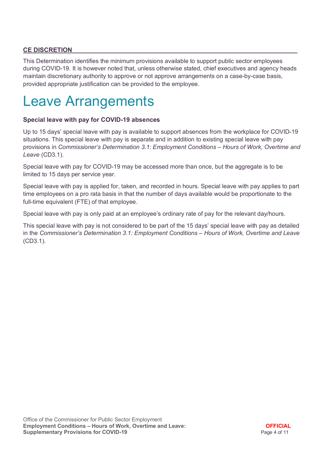## <span id="page-3-0"></span>**CE DISCRETION**

This Determination identifies the minimum provisions available to support public sector employees during COVID-19. It is however noted that, unless otherwise stated, chief executives and agency heads maintain discretionary authority to approve or not approve arrangements on a case-by-case basis, provided appropriate justification can be provided to the employee.

## <span id="page-3-1"></span>Leave Arrangements

#### <span id="page-3-2"></span>**Special leave with pay for COVID-19 absences**

Up to 15 days' special leave with pay is available to support absences from the workplace for COVID-19 situations. This special leave with pay is separate and in addition to existing special leave with pay provisions in *Commissioner's Determination 3.1: Employment Conditions – Hours of Work, Overtime and Leave* (CD3.1).

Special leave with pay for COVID-19 may be accessed more than once, but the aggregate is to be limited to 15 days per service year.

Special leave with pay is applied for, taken, and recorded in hours. Special leave with pay applies to part time employees on a pro rata basis in that the number of days available would be proportionate to the full-time equivalent (FTE) of that employee.

Special leave with pay is only paid at an employee's ordinary rate of pay for the relevant day/hours.

This special leave with pay is not considered to be part of the 15 days' special leave with pay as detailed in the *Commissioner's Determination 3.1: Employment Conditions – Hours of Work, Overtime and Leave* (CD3.1).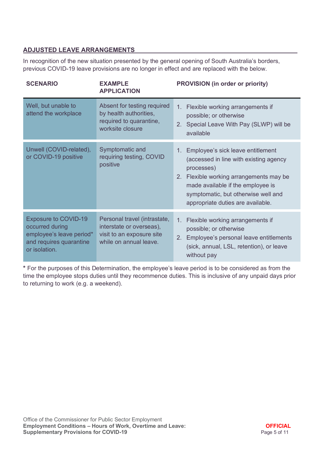## <span id="page-4-0"></span>**ADJUSTED LEAVE ARRANGEMENTS**

In recognition of the new situation presented by the general opening of South Australia's borders, previous COVID-19 leave provisions are no longer in effect and are replaced with the below.

| <b>SCENARIO</b>                                                                                                        | <b>EXAMPLE</b><br><b>APPLICATION</b>                                                                            | <b>PROVISION (in order or priority)</b>                                                                                                                                                                                                                  |
|------------------------------------------------------------------------------------------------------------------------|-----------------------------------------------------------------------------------------------------------------|----------------------------------------------------------------------------------------------------------------------------------------------------------------------------------------------------------------------------------------------------------|
| Well, but unable to<br>attend the workplace                                                                            | Absent for testing required<br>by health authorities,<br>required to quarantine,<br>worksite closure            | Flexible working arrangements if<br>$1_{\cdot}$<br>possible; or otherwise<br>Special Leave With Pay (SLWP) will be<br>2 <sub>1</sub><br>available                                                                                                        |
| Unwell (COVID-related),<br>or COVID-19 positive                                                                        | Symptomatic and<br>requiring testing, COVID<br>positive                                                         | 1. Employee's sick leave entitlement<br>(accessed in line with existing agency<br>processes)<br>2. Flexible working arrangements may be<br>made available if the employee is<br>symptomatic, but otherwise well and<br>appropriate duties are available. |
| <b>Exposure to COVID-19</b><br>occurred during<br>employee's leave period*<br>and requires quarantine<br>or isolation. | Personal travel (intrastate,<br>interstate or overseas),<br>visit to an exposure site<br>while on annual leave. | 1. Flexible working arrangements if<br>possible; or otherwise<br>Employee's personal leave entitlements<br>$2_{\cdot}$<br>(sick, annual, LSL, retention), or leave<br>without pay                                                                        |

**\*** For the purposes of this Determination, the employee's leave period is to be considered as from the time the employee stops duties until they recommence duties. This is inclusive of any unpaid days prior to returning to work (e.g. a weekend).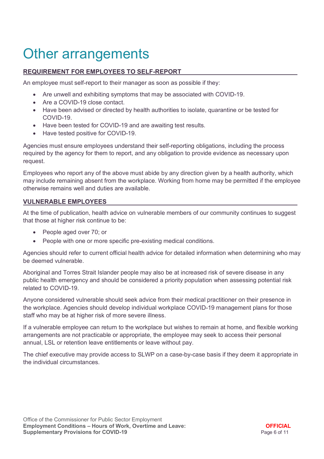## <span id="page-5-0"></span>Other arrangements

### <span id="page-5-1"></span>**REQUIREMENT FOR EMPLOYEES TO SELF-REPORT**

An employee must self-report to their manager as soon as possible if they:

- Are unwell and exhibiting symptoms that may be associated with COVID-19.
- Are a COVID-19 close contact.
- Have been advised or directed by health authorities to isolate, quarantine or be tested for COVID-19.
- Have been tested for COVID-19 and are awaiting test results.
- Have tested positive for COVID-19.

Agencies must ensure employees understand their self-reporting obligations, including the process required by the agency for them to report, and any obligation to provide evidence as necessary upon request.

Employees who report any of the above must abide by any direction given by a health authority, which may include remaining absent from the workplace. Working from home may be permitted if the employee otherwise remains well and duties are available.

#### <span id="page-5-2"></span>**VULNERABLE EMPLOYEES**

At the time of publication, health advice on vulnerable members of our community continues to suggest that those at higher risk continue to be:

- People aged over 70; or
- People with one or more specific pre-existing medical conditions.

Agencies should refer to current official health advice for detailed information when determining who may be deemed vulnerable.

Aboriginal and Torres Strait Islander people may also be at increased risk of severe disease in any public health emergency and should be considered a priority population when assessing potential risk related to COVID-19.

Anyone considered vulnerable should seek advice from their medical practitioner on their presence in the workplace. Agencies should develop individual workplace COVID-19 management plans for those staff who may be at higher risk of more severe illness.

If a vulnerable employee can return to the workplace but wishes to remain at home, and flexible working arrangements are not practicable or appropriate, the employee may seek to access their personal annual, LSL or retention leave entitlements or leave without pay.

<span id="page-5-3"></span>The chief executive may provide access to SLWP on a case-by-case basis if they deem it appropriate in the individual circumstances.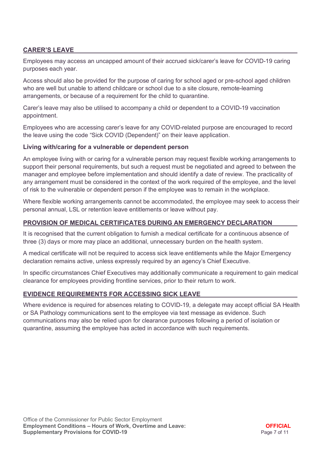### **CARER'S LEAVE**

Employees may access an uncapped amount of their accrued sick/carer's leave for COVID-19 caring purposes each year.

Access should also be provided for the purpose of caring for school aged or pre-school aged children who are well but unable to attend childcare or school due to a site closure, remote-learning arrangements, or because of a requirement for the child to quarantine.

Carer's leave may also be utilised to accompany a child or dependent to a COVID-19 vaccination appointment.

Employees who are accessing carer's leave for any COVID-related purpose are encouraged to record the leave using the code "Sick COVID (Dependent)" on their leave application.

#### <span id="page-6-0"></span>**Living with/caring for a vulnerable or dependent person**

An employee living with or caring for a vulnerable person may request flexible working arrangements to support their personal requirements, but such a request must be negotiated and agreed to between the manager and employee before implementation and should identify a date of review. The practicality of any arrangement must be considered in the context of the work required of the employee, and the level of risk to the vulnerable or dependent person if the employee was to remain in the workplace.

Where flexible working arrangements cannot be accommodated, the employee may seek to access their personal annual, LSL or retention leave entitlements or leave without pay.

#### <span id="page-6-1"></span>**PROVISION OF MEDICAL CERTIFICATES DURING AN EMERGENCY DECLARATION**

It is recognised that the current obligation to furnish a medical certificate for a continuous absence of three (3) days or more may place an additional, unnecessary burden on the health system.

A medical certificate will not be required to access sick leave entitlements while the Major Emergency declaration remains active, unless expressly required by an agency's Chief Executive.

In specific circumstances Chief Executives may additionally communicate a requirement to gain medical clearance for employees providing frontline services, prior to their return to work.

#### <span id="page-6-2"></span>**EVIDENCE REQUIREMENTS FOR ACCESSING SICK LEAVE**

Where evidence is required for absences relating to COVID-19, a delegate may accept official SA Health or SA Pathology communications sent to the employee via text message as evidence. Such communications may also be relied upon for clearance purposes following a period of isolation or quarantine, assuming the employee has acted in accordance with such requirements.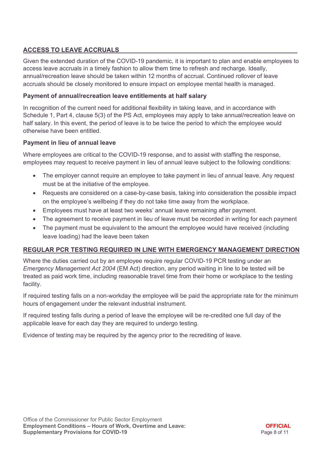## <span id="page-7-0"></span>**ACCESS TO LEAVE ACCRUALS**

Given the extended duration of the COVID-19 pandemic, it is important to plan and enable employees to access leave accruals in a timely fashion to allow them time to refresh and recharge. Ideally, annual/recreation leave should be taken within 12 months of accrual. Continued rollover of leave accruals should be closely monitored to ensure impact on employee mental health is managed.

#### <span id="page-7-1"></span>**Payment of annual/recreation leave entitlements at half salary**

In recognition of the current need for additional flexibility in taking leave, and in accordance with Schedule 1, Part 4, clause 5(3) of the PS Act, employees may apply to take annual/recreation leave on half salary. In this event, the period of leave is to be twice the period to which the employee would otherwise have been entitled.

#### <span id="page-7-2"></span>**Payment in lieu of annual leave**

Where employees are critical to the COVID-19 response, and to assist with staffing the response, employees may request to receive payment in lieu of annual leave subject to the following conditions:

- The employer cannot require an employee to take payment in lieu of annual leave. Any request must be at the initiative of the employee.
- Requests are considered on a case-by-case basis, taking into consideration the possible impact on the employee's wellbeing if they do not take time away from the workplace.
- Employees must have at least two weeks' annual leave remaining after payment.
- The agreement to receive payment in lieu of leave must be recorded in writing for each payment
- The payment must be equivalent to the amount the employee would have received (including leave loading) had the leave been taken

### <span id="page-7-3"></span>**REGULAR PCR TESTING REQUIRED IN LINE WITH EMERGENCY MANAGEMENT DIRECTION**

Where the duties carried out by an employee require regular COVID-19 PCR testing under an *Emergency Management Act 2004* (EM Act) direction, any period waiting in line to be tested will be treated as paid work time, including reasonable travel time from their home or workplace to the testing facility.

If required testing falls on a non-workday the employee will be paid the appropriate rate for the minimum hours of engagement under the relevant industrial instrument.

If required testing falls during a period of leave the employee will be re-credited one full day of the applicable leave for each day they are required to undergo testing.

Evidence of testing may be required by the agency prior to the recrediting of leave.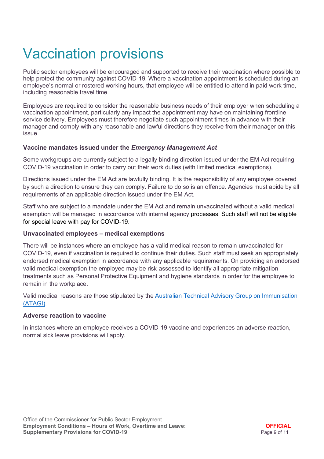# <span id="page-8-0"></span>Vaccination provisions

Public sector employees will be encouraged and supported to receive their vaccination where possible to help protect the community against COVID-19. Where a vaccination appointment is scheduled during an employee's normal or rostered working hours, that employee will be entitled to attend in paid work time, including reasonable travel time.

Employees are required to consider the reasonable business needs of their employer when scheduling a vaccination appointment, particularly any impact the appointment may have on maintaining frontline service delivery. Employees must therefore negotiate such appointment times in advance with their manager and comply with any reasonable and lawful directions they receive from their manager on this issue.

#### <span id="page-8-1"></span>**Vaccine mandates issued under the** *Emergency Management Act*

Some workgroups are currently subject to a legally binding direction issued under the EM Act requiring COVID-19 vaccination in order to carry out their work duties (with limited medical exemptions).

Directions issued under the EM Act are lawfully binding. It is the responsibility of any employee covered by such a direction to ensure they can comply. Failure to do so is an offence. Agencies must abide by all requirements of an applicable direction issued under the EM Act.

Staff who are subject to a mandate under the EM Act and remain unvaccinated without a valid medical exemption will be managed in accordance with internal agency processes. Such staff will not be eligible for special leave with pay for COVID-19.

#### <span id="page-8-2"></span>**Unvaccinated employees – medical exemptions**

There will be instances where an employee has a valid medical reason to remain unvaccinated for COVID-19, even if vaccination is required to continue their duties. Such staff must seek an appropriately endorsed medical exemption in accordance with any applicable requirements. On providing an endorsed valid medical exemption the employee may be risk-assessed to identify all appropriate mitigation treatments such as Personal Protective Equipment and hygiene standards in order for the employee to remain in the workplace.

Valid medical reasons are those stipulated by the [Australian Technical Advisory Group on Immunisation](https://www.sahealth.sa.gov.au/wps/wcm/connect/public+content/sa+health+internet/conditions/infectious+diseases/covid-19/health+professionals/covid-19+advice+for+health+professionals/covid-19+vaccination+clinical+information)  [\(ATAGI\).](https://www.sahealth.sa.gov.au/wps/wcm/connect/public+content/sa+health+internet/conditions/infectious+diseases/covid-19/health+professionals/covid-19+advice+for+health+professionals/covid-19+vaccination+clinical+information)

#### <span id="page-8-3"></span>**Adverse reaction to vaccine**

In instances where an employee receives a COVID-19 vaccine and experiences an adverse reaction, normal sick leave provisions will apply.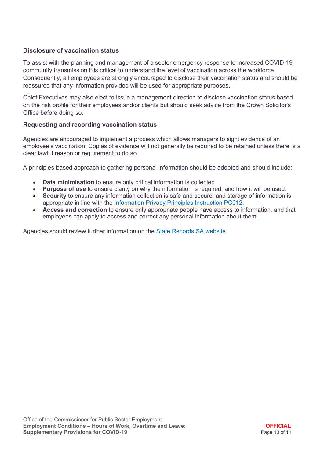#### <span id="page-9-0"></span>**Disclosure of vaccination status**

To assist with the planning and management of a sector emergency response to increased COVID-19 community transmission it is critical to understand the level of vaccination across the workforce. Consequently, all employees are strongly encouraged to disclose their vaccination status and should be reassured that any information provided will be used for appropriate purposes.

Chief Executives may also elect to issue a management direction to disclose vaccination status based on the risk profile for their employees and/or clients but should seek advice from the Crown Solicitor's Office before doing so.

#### <span id="page-9-1"></span>**Requesting and recording vaccination status**

Agencies are encouraged to implement a process which allows managers to sight evidence of an employee's vaccination. Copies of evidence will not generally be required to be retained unless there is a clear lawful reason or requirement to do so.

A principles-based approach to gathering personal information should be adopted and should include:

- **Data minimisation** to ensure only critical information is collected
- **Purpose of use** to ensure clarity on why the information is required, and how it will be used.
- **Security** to ensure any information collection is safe and secure, and storage of information is appropriate in line with the [Information Privacy Principles Instruction PC012.](https://www.dpc.sa.gov.au/resources-and-publications/premier-and-cabinet-circulars/DPC-Circular-Information-Privacy-Principles-IPPS-Instruction.pdf)
- **Access and correction** to ensure only appropriate people have access to information, and that employees can apply to access and correct any personal information about them.

Agencies should review further information on the [State Records SA website.](https://archives.sa.gov.au/managing-information/releasing-information-and-privacy/privacy-south-australia/collection-and-handling-personal-information)